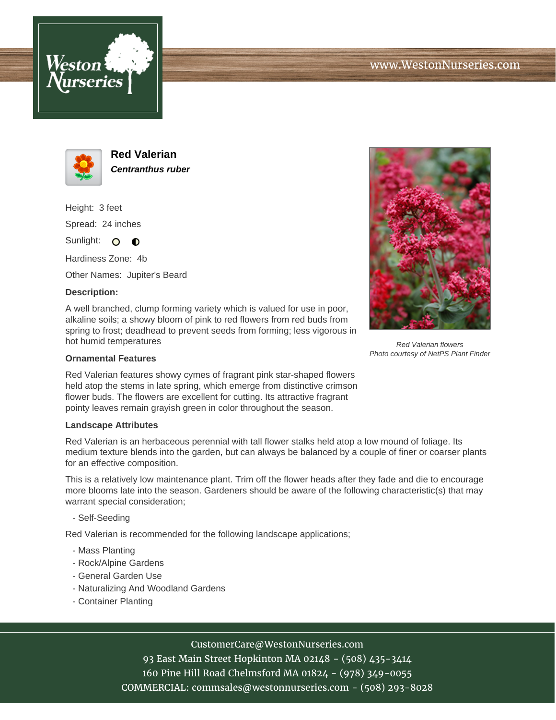





**Red Valerian Centranthus ruber**

Height: 3 feet Spread: 24 inches

Sunlight: O **O** 

Hardiness Zone: 4b

Other Names: Jupiter's Beard

## **Description:**

A well branched, clump forming variety which is valued for use in poor, alkaline soils; a showy bloom of pink to red flowers from red buds from spring to frost; deadhead to prevent seeds from forming; less vigorous in hot humid temperatures

## **Ornamental Features**

Red Valerian features showy cymes of fragrant pink star-shaped flowers held atop the stems in late spring, which emerge from distinctive crimson flower buds. The flowers are excellent for cutting. Its attractive fragrant pointy leaves remain grayish green in color throughout the season.

## **Landscape Attributes**

Red Valerian is an herbaceous perennial with tall flower stalks held atop a low mound of foliage. Its medium texture blends into the garden, but can always be balanced by a couple of finer or coarser plants for an effective composition.

This is a relatively low maintenance plant. Trim off the flower heads after they fade and die to encourage more blooms late into the season. Gardeners should be aware of the following characteristic(s) that may warrant special consideration;

- Self-Seeding

Red Valerian is recommended for the following landscape applications;

- Mass Planting
- Rock/Alpine Gardens
- General Garden Use
- Naturalizing And Woodland Gardens
- Container Planting



93 East Main Street Hopkinton MA 02148 - (508) 435-3414 160 Pine Hill Road Chelmsford MA 01824 - (978) 349-0055 COMMERCIAL: commsales@westonnurseries.com - (508) 293-8028



Red Valerian flowers Photo courtesy of NetPS Plant Finder